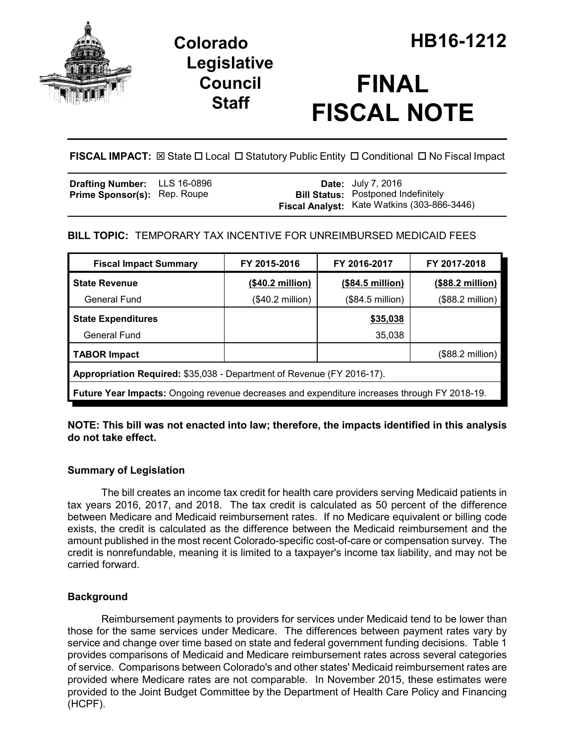

## **Legislative Council Staff**

# **FINAL FISCAL NOTE**

FISCAL IMPACT:  $\boxtimes$  State  $\Box$  Local  $\Box$  Statutory Public Entity  $\Box$  Conditional  $\Box$  No Fiscal Impact

| <b>Drafting Number:</b> LLS 16-0896 |  | <b>Date:</b> July 7, 2016                                                                        |
|-------------------------------------|--|--------------------------------------------------------------------------------------------------|
| <b>Prime Sponsor(s): Rep. Roupe</b> |  | <b>Bill Status:</b> Postponed Indefinitely<br><b>Fiscal Analyst:</b> Kate Watkins (303-866-3446) |

## **BILL TOPIC:** TEMPORARY TAX INCENTIVE FOR UNREIMBURSED MEDICAID FEES

| <b>Fiscal Impact Summary</b>                                                                        | FY 2015-2016              | FY 2016-2017     | FY 2017-2018              |  |  |  |
|-----------------------------------------------------------------------------------------------------|---------------------------|------------------|---------------------------|--|--|--|
| <b>State Revenue</b>                                                                                | $($40.2 \text{ million})$ | (\$84.5 million) | $($88.2 \text{ million})$ |  |  |  |
| <b>General Fund</b>                                                                                 | $($40.2 \text{ million})$ | (\$84.5 million) | (\$88.2 million)          |  |  |  |
| <b>State Expenditures</b>                                                                           |                           | \$35,038         |                           |  |  |  |
| General Fund                                                                                        |                           | 35,038           |                           |  |  |  |
| <b>TABOR Impact</b>                                                                                 |                           |                  | (\$88.2 million)          |  |  |  |
| Appropriation Required: \$35,038 - Department of Revenue (FY 2016-17).                              |                           |                  |                           |  |  |  |
| <b>Future Year Impacts:</b> Ongoing revenue decreases and expenditure increases through FY 2018-19. |                           |                  |                           |  |  |  |

**NOTE: This bill was not enacted into law; therefore, the impacts identified in this analysis do not take effect.**

## **Summary of Legislation**

The bill creates an income tax credit for health care providers serving Medicaid patients in tax years 2016, 2017, and 2018. The tax credit is calculated as 50 percent of the difference between Medicare and Medicaid reimbursement rates. If no Medicare equivalent or billing code exists, the credit is calculated as the difference between the Medicaid reimbursement and the amount published in the most recent Colorado-specific cost-of-care or compensation survey. The credit is nonrefundable, meaning it is limited to a taxpayer's income tax liability, and may not be carried forward.

## **Background**

Reimbursement payments to providers for services under Medicaid tend to be lower than those for the same services under Medicare. The differences between payment rates vary by service and change over time based on state and federal government funding decisions. Table 1 provides comparisons of Medicaid and Medicare reimbursement rates across several categories of service. Comparisons between Colorado's and other states' Medicaid reimbursement rates are provided where Medicare rates are not comparable. In November 2015, these estimates were provided to the Joint Budget Committee by the Department of Health Care Policy and Financing (HCPF).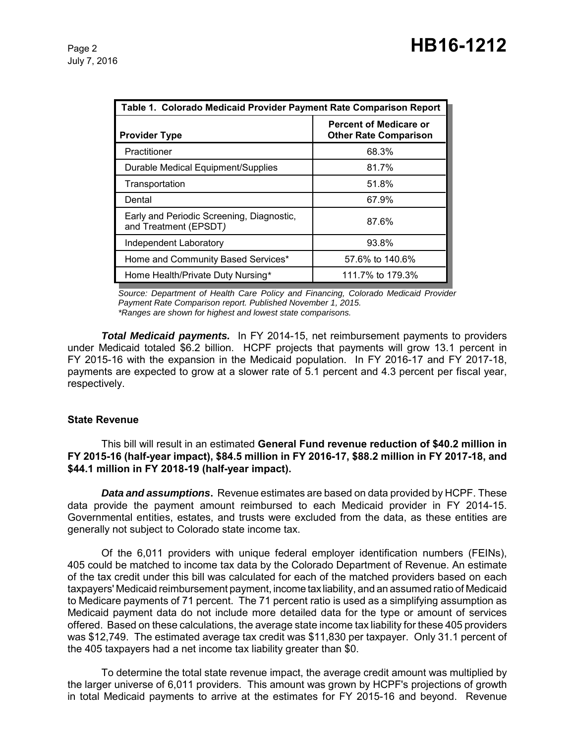| Table 1. Colorado Medicaid Provider Payment Rate Comparison Report |                                                               |  |  |  |
|--------------------------------------------------------------------|---------------------------------------------------------------|--|--|--|
| <b>Provider Type</b>                                               | <b>Percent of Medicare or</b><br><b>Other Rate Comparison</b> |  |  |  |
| Practitioner                                                       | 68.3%                                                         |  |  |  |
| Durable Medical Equipment/Supplies                                 | 81.7%                                                         |  |  |  |
| Transportation                                                     | 51.8%                                                         |  |  |  |
| Dental                                                             | 67.9%                                                         |  |  |  |
| Early and Periodic Screening, Diagnostic,<br>and Treatment (EPSDT) | 87.6%                                                         |  |  |  |
| Independent Laboratory                                             | 93.8%                                                         |  |  |  |
| Home and Community Based Services*                                 | 57.6% to 140.6%                                               |  |  |  |
| Home Health/Private Duty Nursing*                                  | 111.7% to 179.3%                                              |  |  |  |

*Source: Department of Health Care Policy and Financing, Colorado Medicaid Provider Payment Rate Comparison report. Published November 1, 2015. \*Ranges are shown for highest and lowest state comparisons.*

*Total Medicaid payments.* In FY 2014-15, net reimbursement payments to providers under Medicaid totaled \$6.2 billion. HCPF projects that payments will grow 13.1 percent in FY 2015-16 with the expansion in the Medicaid population. In FY 2016-17 and FY 2017-18, payments are expected to grow at a slower rate of 5.1 percent and 4.3 percent per fiscal year, respectively.

#### **State Revenue**

This bill will result in an estimated **General Fund revenue reduction of \$40.2 million in FY 2015-16 (half-year impact), \$84.5 million in FY 2016-17, \$88.2 million in FY 2017-18, and \$44.1 million in FY 2018-19 (half-year impact).**

*Data and assumptions***.** Revenue estimates are based on data provided by HCPF. These data provide the payment amount reimbursed to each Medicaid provider in FY 2014-15. Governmental entities, estates, and trusts were excluded from the data, as these entities are generally not subject to Colorado state income tax.

Of the 6,011 providers with unique federal employer identification numbers (FEINs), 405 could be matched to income tax data by the Colorado Department of Revenue. An estimate of the tax credit under this bill was calculated for each of the matched providers based on each taxpayers' Medicaid reimbursement payment, income tax liability, and an assumed ratio of Medicaid to Medicare payments of 71 percent. The 71 percent ratio is used as a simplifying assumption as Medicaid payment data do not include more detailed data for the type or amount of services offered. Based on these calculations, the average state income tax liability for these 405 providers was \$12,749. The estimated average tax credit was \$11,830 per taxpayer. Only 31.1 percent of the 405 taxpayers had a net income tax liability greater than \$0.

To determine the total state revenue impact, the average credit amount was multiplied by the larger universe of 6,011 providers. This amount was grown by HCPF's projections of growth in total Medicaid payments to arrive at the estimates for FY 2015-16 and beyond. Revenue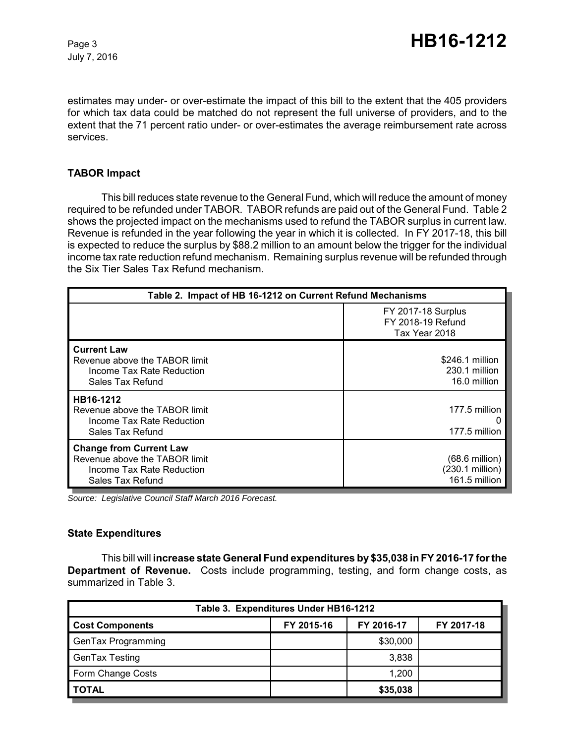July 7, 2016

estimates may under- or over-estimate the impact of this bill to the extent that the 405 providers for which tax data could be matched do not represent the full universe of providers, and to the extent that the 71 percent ratio under- or over-estimates the average reimbursement rate across services.

#### **TABOR Impact**

This bill reduces state revenue to the General Fund, which will reduce the amount of money required to be refunded under TABOR. TABOR refunds are paid out of the General Fund. Table 2 shows the projected impact on the mechanisms used to refund the TABOR surplus in current law. Revenue is refunded in the year following the year in which it is collected. In FY 2017-18, this bill is expected to reduce the surplus by \$88.2 million to an amount below the trigger for the individual income tax rate reduction refund mechanism. Remaining surplus revenue will be refunded through the Six Tier Sales Tax Refund mechanism.

| Table 2. Impact of HB 16-1212 on Current Refund Mechanisms                                                       |                                                                 |  |  |  |
|------------------------------------------------------------------------------------------------------------------|-----------------------------------------------------------------|--|--|--|
|                                                                                                                  | <b>FY 2017-18 Surplus</b><br>FY 2018-19 Refund<br>Tax Year 2018 |  |  |  |
| <b>Current Law</b><br>Revenue above the TABOR limit<br>Income Tax Rate Reduction<br>Sales Tax Refund             | \$246.1 million<br>230.1 million<br>16.0 million                |  |  |  |
| HB16-1212<br>Revenue above the TABOR limit<br>Income Tax Rate Reduction<br>Sales Tax Refund                      | 177.5 million<br>177.5 million                                  |  |  |  |
| <b>Change from Current Law</b><br>Revenue above the TABOR limit<br>Income Tax Rate Reduction<br>Sales Tax Refund | $(68.6 \text{ million})$<br>(230.1 million)<br>161.5 million    |  |  |  |

*Source: Legislative Council Staff March 2016 Forecast.*

#### **State Expenditures**

This bill will **increase state General Fund expenditures by \$35,038 in FY 2016-17 for the Department of Revenue.** Costs include programming, testing, and form change costs, as summarized in Table 3.

| Table 3. Expenditures Under HB16-1212 |            |            |            |  |  |  |
|---------------------------------------|------------|------------|------------|--|--|--|
| <b>Cost Components</b>                | FY 2015-16 | FY 2016-17 | FY 2017-18 |  |  |  |
| GenTax Programming                    |            | \$30,000   |            |  |  |  |
| GenTax Testing                        |            | 3,838      |            |  |  |  |
| Form Change Costs                     |            | 1,200      |            |  |  |  |
| <b>TOTAL</b>                          |            | \$35,038   |            |  |  |  |